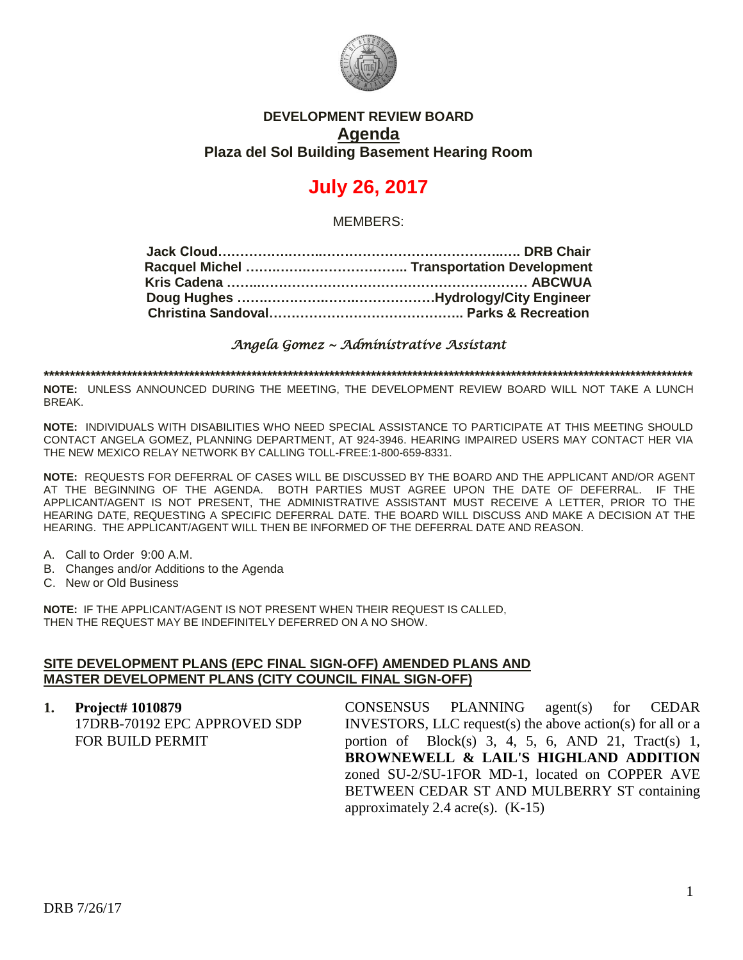

## **DEVELOPMENT REVIEW BOARD Agenda Plaza del Sol Building Basement Hearing Room**

# **July 26, 2017**

MEMBERS:

*Angela Gomez ~ Administrative Assistant* 

**\*\*\*\*\*\*\*\*\*\*\*\*\*\*\*\*\*\*\*\*\*\*\*\*\*\*\*\*\*\*\*\*\*\*\*\*\*\*\*\*\*\*\*\*\*\*\*\*\*\*\*\*\*\*\*\*\*\*\*\*\*\*\*\*\*\*\*\*\*\*\*\*\*\*\*\*\*\*\*\*\*\*\*\*\*\*\*\*\*\*\*\*\*\*\*\*\*\*\*\*\*\*\*\*\*\*\*\*\*\*\*\*\*\*\*\*\*\*\*\*\*\*\*\*\***

**NOTE:** UNLESS ANNOUNCED DURING THE MEETING, THE DEVELOPMENT REVIEW BOARD WILL NOT TAKE A LUNCH BREAK.

**NOTE:** INDIVIDUALS WITH DISABILITIES WHO NEED SPECIAL ASSISTANCE TO PARTICIPATE AT THIS MEETING SHOULD CONTACT ANGELA GOMEZ, PLANNING DEPARTMENT, AT 924-3946. HEARING IMPAIRED USERS MAY CONTACT HER VIA THE NEW MEXICO RELAY NETWORK BY CALLING TOLL-FREE:1-800-659-8331.

**NOTE:** REQUESTS FOR DEFERRAL OF CASES WILL BE DISCUSSED BY THE BOARD AND THE APPLICANT AND/OR AGENT AT THE BEGINNING OF THE AGENDA. BOTH PARTIES MUST AGREE UPON THE DATE OF DEFERRAL. IF THE APPLICANT/AGENT IS NOT PRESENT, THE ADMINISTRATIVE ASSISTANT MUST RECEIVE A LETTER, PRIOR TO THE HEARING DATE, REQUESTING A SPECIFIC DEFERRAL DATE. THE BOARD WILL DISCUSS AND MAKE A DECISION AT THE HEARING. THE APPLICANT/AGENT WILL THEN BE INFORMED OF THE DEFERRAL DATE AND REASON.

- A. Call to Order 9:00 A.M.
- B. Changes and/or Additions to the Agenda
- C. New or Old Business

**NOTE:** IF THE APPLICANT/AGENT IS NOT PRESENT WHEN THEIR REQUEST IS CALLED, THEN THE REQUEST MAY BE INDEFINITELY DEFERRED ON A NO SHOW.

#### **SITE DEVELOPMENT PLANS (EPC FINAL SIGN-OFF) AMENDED PLANS AND MASTER DEVELOPMENT PLANS (CITY COUNCIL FINAL SIGN-OFF)**

**1. Project# 1010879** 17DRB-70192 EPC APPROVED SDP FOR BUILD PERMIT CONSENSUS PLANNING agent(s) for CEDAR INVESTORS, LLC request(s) the above action(s) for all or a portion of Block(s) 3, 4, 5, 6, AND 21, Tract(s) 1, **BROWNEWELL & LAIL'S HIGHLAND ADDITION** zoned SU-2/SU-1FOR MD-1, located on COPPER AVE BETWEEN CEDAR ST AND MULBERRY ST containing approximately 2.4 acre(s).  $(K-15)$